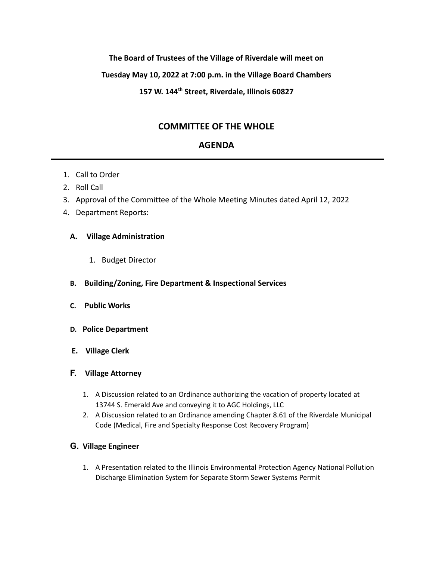### **The Board of Trustees of the Village of Riverdale will meet on**

### **Tuesday May 10, 2022 at 7:00 p.m. in the Village Board Chambers**

## **157 W. 144th Street, Riverdale, Illinois 60827**

# **COMMITTEE OF THE WHOLE**

# **AGENDA**

- 1. Call to Order
- 2. Roll Call
- 3. Approval of the Committee of the Whole Meeting Minutes dated April 12, 2022
- 4. Department Reports:

### **A. Village Administration**

- 1. Budget Director
- **B. Building/Zoning, Fire Department & Inspectional Services**
- **C. Public Works**
- **D. Police Department**
- **E. Village Clerk**
- **F. Village Attorney**
	- 1. A Discussion related to an Ordinance authorizing the vacation of property located at 13744 S. Emerald Ave and conveying it to AGC Holdings, LLC
	- 2. A Discussion related to an Ordinance amending Chapter 8.61 of the Riverdale Municipal Code (Medical, Fire and Specialty Response Cost Recovery Program)

# **G. Village Engineer**

1. A Presentation related to the Illinois Environmental Protection Agency National Pollution Discharge Elimination System for Separate Storm Sewer Systems Permit